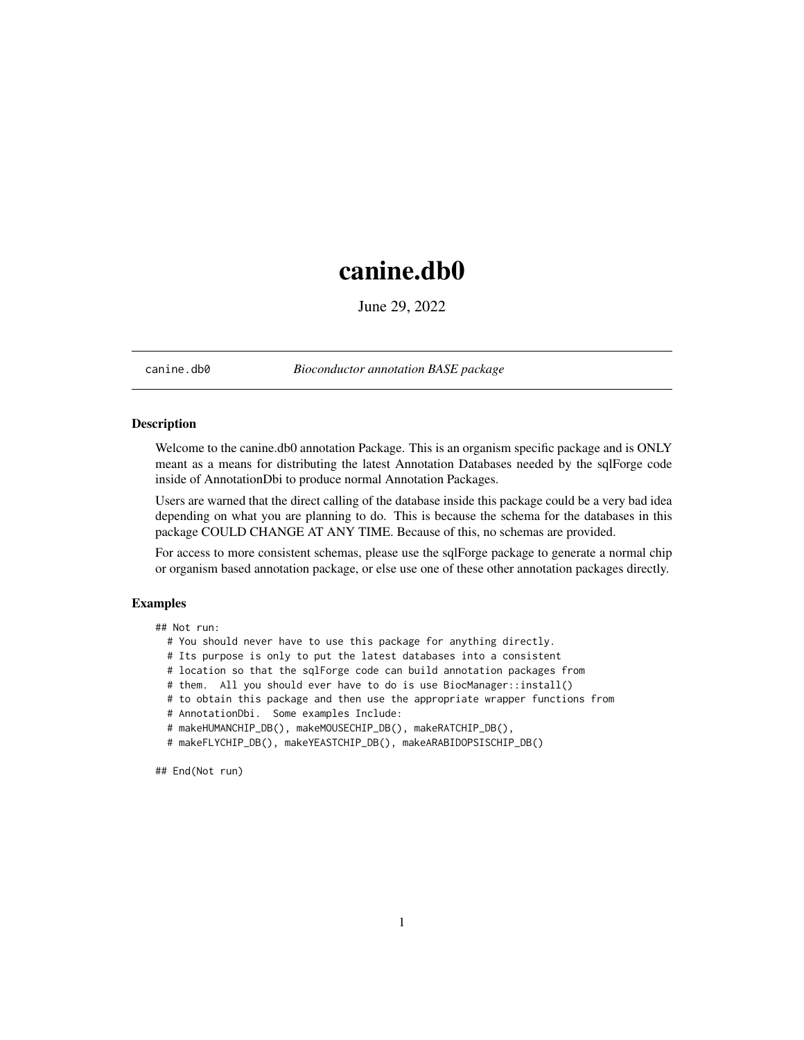## <span id="page-0-0"></span>canine.db0

June 29, 2022

canine.db0 *Bioconductor annotation BASE package*

#### Description

Welcome to the canine.db0 annotation Package. This is an organism specific package and is ONLY meant as a means for distributing the latest Annotation Databases needed by the sqlForge code inside of AnnotationDbi to produce normal Annotation Packages.

Users are warned that the direct calling of the database inside this package could be a very bad idea depending on what you are planning to do. This is because the schema for the databases in this package COULD CHANGE AT ANY TIME. Because of this, no schemas are provided.

For access to more consistent schemas, please use the sqlForge package to generate a normal chip or organism based annotation package, or else use one of these other annotation packages directly.

#### Examples

## Not run:

- # You should never have to use this package for anything directly.
- # Its purpose is only to put the latest databases into a consistent
- # location so that the sqlForge code can build annotation packages from
- # them. All you should ever have to do is use BiocManager::install()
- # to obtain this package and then use the appropriate wrapper functions from
- # AnnotationDbi. Some examples Include:
- # makeHUMANCHIP\_DB(), makeMOUSECHIP\_DB(), makeRATCHIP\_DB(),
- # makeFLYCHIP\_DB(), makeYEASTCHIP\_DB(), makeARABIDOPSISCHIP\_DB()

## End(Not run)